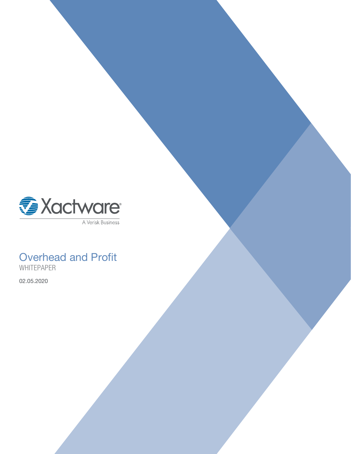

## Overhead and Profit WHITEPAPER

02.05.2020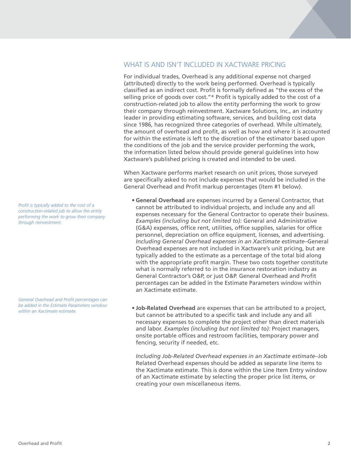## WHAT IS AND ISN'T INCLUDED IN XACTWARE PRICING

For individual trades, Overhead is any additional expense not charged (attributed) directly to the work being performed. Overhead is typically classified as an indirect cost. Profit is formally defined as "the excess of the selling price of goods over cost."\* Profit is typically added to the cost of a construction-related job to allow the entity performing the work to grow their company through reinvestment. Xactware Solutions, Inc., an industry leader in providing estimating software, services, and building cost data since 1986, has recognized three categories of overhead. While ultimately, the amount of overhead and profit, as well as how and where it is accounted for within the estimate is left to the discretion of the estimator based upon the conditions of the job and the service provider performing the work, the information listed below should provide general guidelines into how Xactware's published pricing is created and intended to be used.

When Xactware performs market research on unit prices, those surveyed are specifically asked to not include expenses that would be included in the General Overhead and Profit markup percentages (item #1 below).

- **General Overhead** are expenses incurred by a General Contractor, that cannot be attributed to individual projects, and include any and all expenses necessary for the General Contractor to operate their business. *Examples (including but not limited to):* General and Administrative (G&A) expenses, office rent, utilities, office supplies, salaries for office personnel, depreciation on office equipment, licenses, and advertising. *Including General Overhead expenses in an Xactimate estimate*–General Overhead expenses are not included in Xactware's unit pricing, but are typically added to the estimate as a percentage of the total bid along with the appropriate profit margin. These two costs together constitute what is normally referred to in the insurance restoration industry as General Contractor's O&P, or just O&P. General Overhead and Prot percentages can be added in the Estimate Parameters window within an Xactimate estimate.
- **Job-Related Overhead** are expenses that can be attributed to a project, but cannot be attributed to a specific task and include any and all necessary expenses to complete the project other than direct materials and labor. *Examples (including but not limited to):* Project managers, onsite portable offices and restroom facilities, temporary power and fencing, security if needed, etc.

*Including Job-Related Overhead expenses in an Xactimate estimate*–Job Related Overhead expenses should be added as separate line items to the Xactimate estimate. This is done within the Line Item Entry window of an Xactimate estimate by selecting the proper price list items, or creating your own miscellaneous items.

Profit is typically added to the cost of a *construction-related job to allow the entity performing the work to grow their company through reinvestment.*

**General Overhead and Profit percentages can** *be added in the Estimate Parameters window within an Xactimate estimate.*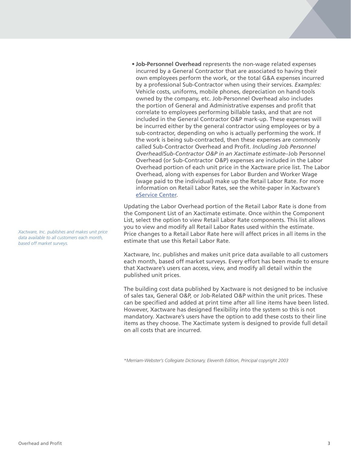**• Job-Personnel Overhead** represents the non-wage related expenses incurred by a General Contractor that are associated to having their own employees perform the work, or the total G&A expenses incurred by a professional Sub-Contractor when using their services. *Examples:* Vehicle costs, uniforms, mobile phones, depreciation on hand-tools owned by the company, etc. Job-Personnel Overhead also includes the portion of General and Administrative expenses and profit that correlate to employees performing billable tasks, and that are not included in the General Contractor O&P mark-up. These expenses will be incurred either by the general contractor using employees or by a sub-contractor, depending on who is actually performing the work. If the work is being sub-contracted, then these expenses are commonly called Sub-Contractor Overhead and Profit. *Including Job Personnel Overhead/Sub-Contractor O&P in an Xactimate estimate*–Job Personnel Overhead (or Sub-Contractor O&P) expenses are included in the Labor Overhead portion of each unit price in the Xactware price list. The Labor Overhead, along with expenses for Labor Burden and Worker Wage (wage paid to the individual) make up the Retail Labor Rate. For more information on Retail Labor Rates, see the white-paper in Xactware's eService Center.

Updating the Labor Overhead portion of the Retail Labor Rate is done from the Component List of an Xactimate estimate. Once within the Component List, select the option to view Retail Labor Rate components. This list allows you to view and modify all Retail Labor Rates used within the estimate. Price changes to a Retail Labor Rate here will affect prices in all items in the estimate that use this Retail Labor Rate.

Xactware, Inc. publishes and makes unit price data available to all customers each month, based off market surveys. Every effort has been made to ensure that Xactware's users can access, view, and modify all detail within the published unit prices.

The building cost data published by Xactware is not designed to be inclusive of sales tax, General O&P, or Job-Related O&P within the unit prices. These can be specified and added at print time after all line items have been listed. However, Xactware has designed flexibility into the system so this is not mandatory. Xactware's users have the option to add these costs to their line items as they choose. The Xactimate system is designed to provide full detail on all costs that are incurred.

*\*Merriam-Webster's Collegiate Dictionary, Eleventh Edition, Principal copyright 2003*

*Xactware, Inc. publishes and makes unit price data available to all customers each month, based off market surveys.*